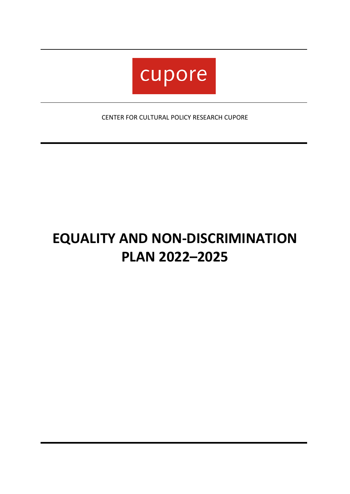

CENTER FOR CULTURAL POLICY RESEARCH CUPORE

# **EQUALITY AND NON-DISCRIMINATION PLAN 2022–2025**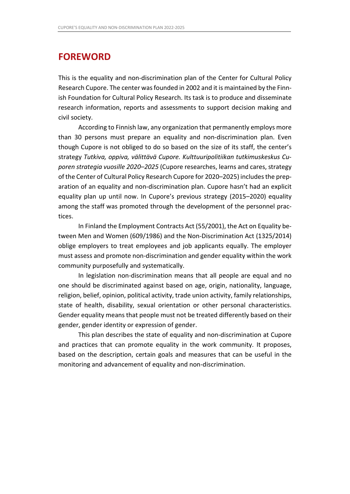## **FOREWORD**

This is the equality and non-discrimination plan of the Center for Cultural Policy Research Cupore. The center was founded in 2002 and it is maintained by the Finnish Foundation for Cultural Policy Research. Its task is to produce and disseminate research information, reports and assessments to support decision making and civil society.

According to Finnish law, any organization that permanently employs more than 30 persons must prepare an equality and non-discrimination plan. Even though Cupore is not obliged to do so based on the size of its staff, the center's strategy *Tutkiva, oppiva, välittävä Cupore. Kulttuuripolitiikan tutkimuskeskus Cuporen strategia vuosille 2020–2025* (Cupore researches, learns and cares, strategy of the Center of Cultural Policy Research Cupore for 2020–2025) includes the preparation of an equality and non-discrimination plan. Cupore hasn't had an explicit equality plan up until now. In Cupore's previous strategy (2015–2020) equality among the staff was promoted through the development of the personnel practices.

In Finland the Employment Contracts Act (55/2001), the Act on Equality between Men and Women (609/1986) and the Non-Discrimination Act (1325/2014) oblige employers to treat employees and job applicants equally. The employer must assess and promote non-discrimination and gender equality within the work community purposefully and systematically.

In legislation non-discrimination means that all people are equal and no one should be discriminated against based on age, origin, nationality, language, religion, belief, opinion, political activity, trade union activity, family relationships, state of health, disability, sexual orientation or other personal characteristics. Gender equality means that people must not be treated differently based on their gender, gender identity or expression of gender.

This plan describes the state of equality and non-discrimination at Cupore and practices that can promote equality in the work community. It proposes, based on the description, certain goals and measures that can be useful in the monitoring and advancement of equality and non-discrimination.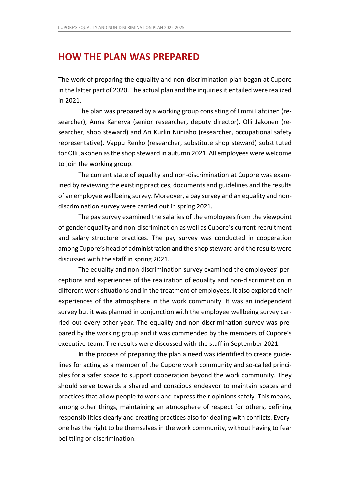### **HOW THE PLAN WAS PREPARED**

The work of preparing the equality and non-discrimination plan began at Cupore in the latter part of 2020. The actual plan and the inquiries it entailed were realized in 2021.

The plan was prepared by a working group consisting of Emmi Lahtinen (researcher), Anna Kanerva (senior researcher, deputy director), Olli Jakonen (researcher, shop steward) and Ari Kurlin Niiniaho (researcher, occupational safety representative). Vappu Renko (researcher, substitute shop steward) substituted for Olli Jakonen as the shop steward in autumn 2021. All employees were welcome to join the working group.

The current state of equality and non-discrimination at Cupore was examined by reviewing the existing practices, documents and guidelines and the results of an employee wellbeing survey. Moreover, a pay survey and an equality and nondiscrimination survey were carried out in spring 2021.

The pay survey examined the salaries of the employees from the viewpoint of gender equality and non-discrimination as well as Cupore's current recruitment and salary structure practices. The pay survey was conducted in cooperation among Cupore's head of administration and the shop steward and the results were discussed with the staff in spring 2021.

The equality and non-discrimination survey examined the employees' perceptions and experiences of the realization of equality and non-discrimination in different work situations and in the treatment of employees. It also explored their experiences of the atmosphere in the work community. It was an independent survey but it was planned in conjunction with the employee wellbeing survey carried out every other year. The equality and non-discrimination survey was prepared by the working group and it was commended by the members of Cupore's executive team. The results were discussed with the staff in September 2021.

In the process of preparing the plan a need was identified to create guidelines for acting as a member of the Cupore work community and so-called principles for a safer space to support cooperation beyond the work community. They should serve towards a shared and conscious endeavor to maintain spaces and practices that allow people to work and express their opinions safely. This means, among other things, maintaining an atmosphere of respect for others, defining responsibilities clearly and creating practices also for dealing with conflicts. Everyone has the right to be themselves in the work community, without having to fear belittling or discrimination.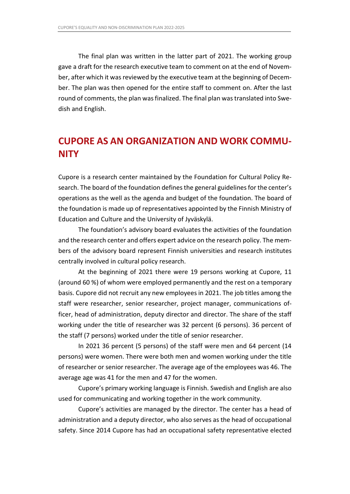The final plan was written in the latter part of 2021. The working group gave a draft for the research executive team to comment on at the end of November, after which it was reviewed by the executive team at the beginning of December. The plan was then opened for the entire staff to comment on. After the last round of comments, the plan was finalized. The final plan was translated into Swedish and English.

# **CUPORE AS AN ORGANIZATION AND WORK COMMU-NITY**

Cupore is a research center maintained by the Foundation for Cultural Policy Research. The board of the foundation defines the general guidelines for the center's operations as the well as the agenda and budget of the foundation. The board of the foundation is made up of representatives appointed by the Finnish Ministry of Education and Culture and the University of Jyväskylä.

The foundation's advisory board evaluates the activities of the foundation and the research center and offers expert advice on the research policy. The members of the advisory board represent Finnish universities and research institutes centrally involved in cultural policy research.

At the beginning of 2021 there were 19 persons working at Cupore, 11 (around 60 %) of whom were employed permanently and the rest on a temporary basis. Cupore did not recruit any new employees in 2021. The job titles among the staff were researcher, senior researcher, project manager, communications officer, head of administration, deputy director and director. The share of the staff working under the title of researcher was 32 percent (6 persons). 36 percent of the staff (7 persons) worked under the title of senior researcher.

In 2021 36 percent (5 persons) of the staff were men and 64 percent (14 persons) were women. There were both men and women working under the title of researcher or senior researcher. The average age of the employees was 46. The average age was 41 for the men and 47 for the women.

Cupore's primary working language is Finnish. Swedish and English are also used for communicating and working together in the work community.

Cupore's activities are managed by the director. The center has a head of administration and a deputy director, who also serves as the head of occupational safety. Since 2014 Cupore has had an occupational safety representative elected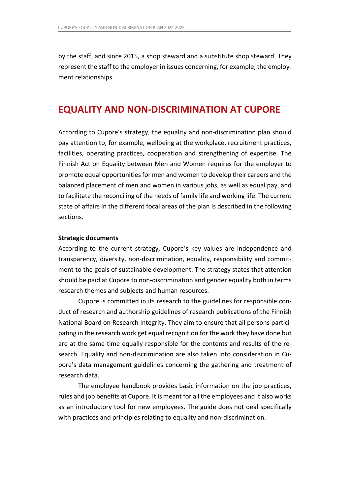by the staff, and since 2015, a shop steward and a substitute shop steward. They represent the staff to the employer in issues concerning, for example, the employment relationships.

### **EQUALITY AND NON-DISCRIMINATION AT CUPORE**

According to Cupore's strategy, the equality and non-discrimination plan should pay attention to, for example, wellbeing at the workplace, recruitment practices, facilities, operating practices, cooperation and strengthening of expertise. The Finnish Act on Equality between Men and Women requires for the employer to promote equal opportunities for men and women to develop their careers and the balanced placement of men and women in various jobs, as well as equal pay, and to facilitate the reconciling of the needs of family life and working life. The current state of affairs in the different focal areas of the plan is described in the following sections.

#### **Strategic documents**

According to the current strategy, Cupore's key values are independence and transparency, diversity, non-discrimination, equality, responsibility and commitment to the goals of sustainable development. The strategy states that attention should be paid at Cupore to non-discrimination and gender equality both in terms research themes and subjects and human resources.

Cupore is committed in its research to the guidelines for responsible conduct of research and authorship guidelines of research publications of the Finnish National Board on Research Integrity. They aim to ensure that all persons participating in the research work get equal recognition for the work they have done but are at the same time equally responsible for the contents and results of the research. Equality and non-discrimination are also taken into consideration in Cupore's data management guidelines concerning the gathering and treatment of research data.

The employee handbook provides basic information on the job practices, rules and job benefits at Cupore. It is meant for all the employees and it also works as an introductory tool for new employees. The guide does not deal specifically with practices and principles relating to equality and non-discrimination.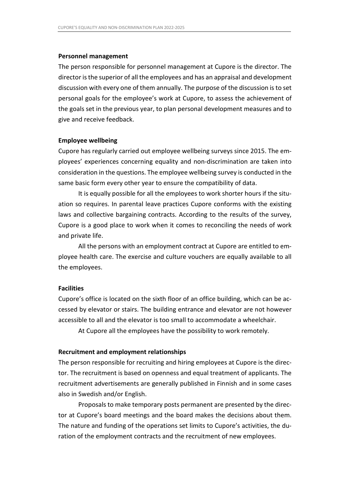#### **Personnel management**

The person responsible for personnel management at Cupore is the director. The director is the superior of all the employees and has an appraisal and development discussion with every one of them annually. The purpose of the discussion is to set personal goals for the employee's work at Cupore, to assess the achievement of the goals set in the previous year, to plan personal development measures and to give and receive feedback.

#### **Employee wellbeing**

Cupore has regularly carried out employee wellbeing surveys since 2015. The employees' experiences concerning equality and non-discrimination are taken into consideration in the questions. The employee wellbeing survey is conducted in the same basic form every other year to ensure the compatibility of data.

It is equally possible for all the employees to work shorter hours if the situation so requires. In parental leave practices Cupore conforms with the existing laws and collective bargaining contracts. According to the results of the survey, Cupore is a good place to work when it comes to reconciling the needs of work and private life.

All the persons with an employment contract at Cupore are entitled to employee health care. The exercise and culture vouchers are equally available to all the employees.

#### **Facilities**

Cupore's office is located on the sixth floor of an office building, which can be accessed by elevator or stairs. The building entrance and elevator are not however accessible to all and the elevator is too small to accommodate a wheelchair.

At Cupore all the employees have the possibility to work remotely.

#### **Recruitment and employment relationships**

The person responsible for recruiting and hiring employees at Cupore is the director. The recruitment is based on openness and equal treatment of applicants. The recruitment advertisements are generally published in Finnish and in some cases also in Swedish and/or English.

Proposals to make temporary posts permanent are presented by the director at Cupore's board meetings and the board makes the decisions about them. The nature and funding of the operations set limits to Cupore's activities, the duration of the employment contracts and the recruitment of new employees.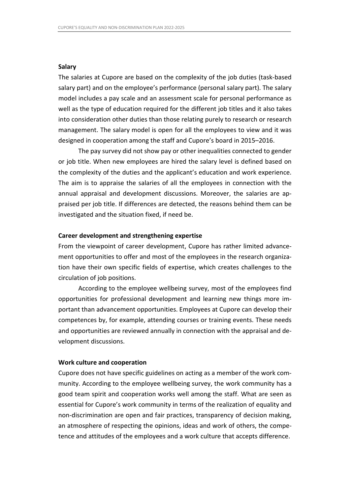#### **Salary**

The salaries at Cupore are based on the complexity of the job duties (task-based salary part) and on the employee's performance (personal salary part). The salary model includes a pay scale and an assessment scale for personal performance as well as the type of education required for the different job titles and it also takes into consideration other duties than those relating purely to research or research management. The salary model is open for all the employees to view and it was designed in cooperation among the staff and Cupore's board in 2015–2016.

The pay survey did not show pay or other inequalities connected to gender or job title. When new employees are hired the salary level is defined based on the complexity of the duties and the applicant's education and work experience. The aim is to appraise the salaries of all the employees in connection with the annual appraisal and development discussions. Moreover, the salaries are appraised per job title. If differences are detected, the reasons behind them can be investigated and the situation fixed, if need be.

#### **Career development and strengthening expertise**

From the viewpoint of career development, Cupore has rather limited advancement opportunities to offer and most of the employees in the research organization have their own specific fields of expertise, which creates challenges to the circulation of job positions.

According to the employee wellbeing survey, most of the employees find opportunities for professional development and learning new things more important than advancement opportunities. Employees at Cupore can develop their competences by, for example, attending courses or training events. These needs and opportunities are reviewed annually in connection with the appraisal and development discussions.

#### **Work culture and cooperation**

Cupore does not have specific guidelines on acting as a member of the work community. According to the employee wellbeing survey, the work community has a good team spirit and cooperation works well among the staff. What are seen as essential for Cupore's work community in terms of the realization of equality and non-discrimination are open and fair practices, transparency of decision making, an atmosphere of respecting the opinions, ideas and work of others, the competence and attitudes of the employees and a work culture that accepts difference.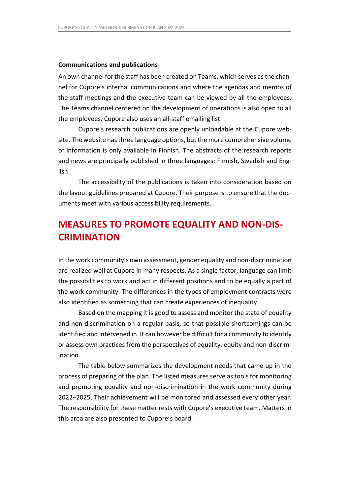#### **Communications and publications**

An own channel for the staff has been created on Teams, which serves as the channel for Cupore's internal communications and where the agendas and memos of the staff meetings and the executive team can be viewed by all the employees. The Teams channel centered on the development of operations is also open to all the employees. Cupore also uses an all-staff emailing list.

Cupore's research publications are openly unloadable at the Cupore website. The website has three language options, but the more comprehensive volume of information is only available in Finnish. The abstracts of the research reports and news are principally published in three languages: Finnish, Swedish and English.

The accessibility of the publications is taken into consideration based on the layout guidelines prepared at Cupore. Their purpose is to ensure that the documents meet with various accessibility requirements.

# **MEASURES TO PROMOTE EQUALITY AND NON-DIS-CRIMINATION**

In the work community's own assessment, gender equality and non-discrimination are realized well at Cupore in many respects. As a single factor, language can limit the possibilities to work and act in different positions and to be equally a part of the work community. The differences in the types of employment contracts were also identified as something that can create experiences of inequality.

Based on the mapping it is good to assess and monitor the state of equality and non-discrimination on a regular basis, so that possible shortcomings can be identified and intervened in. It can however be difficult for a community to identify or assess own practices from the perspectives of equality, equity and non-discrimination.

The table below summarizes the development needs that came up in the process of preparing of the plan. The listed measures serve as tools for monitoring and promoting equality and non-discrimination in the work community during 2022–2025. Their achievement will be monitored and assessed every other year. The responsibility for these matter rests with Cupore's executive team. Matters in this area are also presented to Cupore's board.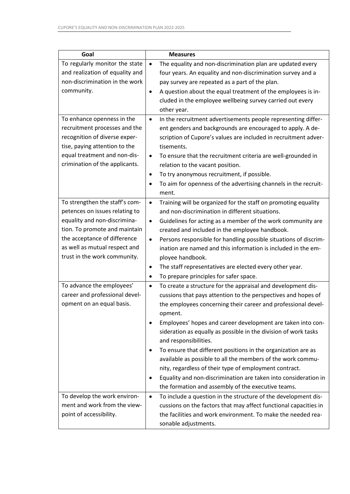| Goal                                                                                                                                                                                                                               | <b>Measures</b>                                                                                                                                                                                                                                                                                                                                                                                                                                                                                                                                                                                                                                                                                                        |
|------------------------------------------------------------------------------------------------------------------------------------------------------------------------------------------------------------------------------------|------------------------------------------------------------------------------------------------------------------------------------------------------------------------------------------------------------------------------------------------------------------------------------------------------------------------------------------------------------------------------------------------------------------------------------------------------------------------------------------------------------------------------------------------------------------------------------------------------------------------------------------------------------------------------------------------------------------------|
| To regularly monitor the state<br>and realization of equality and<br>non-discrimination in the work<br>community.                                                                                                                  | The equality and non-discrimination plan are updated every<br>$\bullet$<br>four years. An equality and non-discrimination survey and a<br>pay survey are repeated as a part of the plan.<br>A question about the equal treatment of the employees is in-<br>$\bullet$<br>cluded in the employee wellbeing survey carried out every<br>other year.                                                                                                                                                                                                                                                                                                                                                                      |
| To enhance openness in the<br>recruitment processes and the<br>recognition of diverse exper-<br>tise, paying attention to the<br>equal treatment and non-dis-<br>crimination of the applicants.                                    | In the recruitment advertisements people representing differ-<br>$\bullet$<br>ent genders and backgrounds are encouraged to apply. A de-<br>scription of Cupore's values are included in recruitment adver-<br>tisements.<br>To ensure that the recruitment criteria are well-grounded in<br>$\bullet$<br>relation to the vacant position.<br>To try anonymous recruitment, if possible.<br>To aim for openness of the advertising channels in the recruit-<br>٠<br>ment.                                                                                                                                                                                                                                              |
| To strengthen the staff's com-<br>petences on issues relating to<br>equality and non-discrimina-<br>tion. To promote and maintain<br>the acceptance of difference<br>as well as mutual respect and<br>trust in the work community. | Training will be organized for the staff on promoting equality<br>$\bullet$<br>and non-discrimination in different situations.<br>Guidelines for acting as a member of the work community are<br>$\bullet$<br>created and included in the employee handbook.<br>Persons responsible for handling possible situations of discrim-<br>$\bullet$<br>ination are named and this information is included in the em-<br>ployee handbook.<br>The staff representatives are elected every other year.<br>٠<br>To prepare principles for safer space.                                                                                                                                                                           |
| To advance the employees'<br>career and professional devel-<br>opment on an equal basis.                                                                                                                                           | To create a structure for the appraisal and development dis-<br>$\bullet$<br>cussions that pays attention to the perspectives and hopes of<br>the employees concerning their career and professional devel-<br>opment.<br>Employees' hopes and career development are taken into con-<br>$\bullet$<br>sideration as equally as possible in the division of work tasks<br>and responsibilities.<br>To ensure that different positions in the organization are as<br>٠<br>available as possible to all the members of the work commu-<br>nity, regardless of their type of employment contract.<br>Equality and non-discrimination are taken into consideration in<br>the formation and assembly of the executive teams. |
| To develop the work environ-<br>ment and work from the view-<br>point of accessibility.                                                                                                                                            | To include a question in the structure of the development dis-<br>$\bullet$<br>cussions on the factors that may affect functional capacities in<br>the facilities and work environment. To make the needed rea-<br>sonable adjustments.                                                                                                                                                                                                                                                                                                                                                                                                                                                                                |